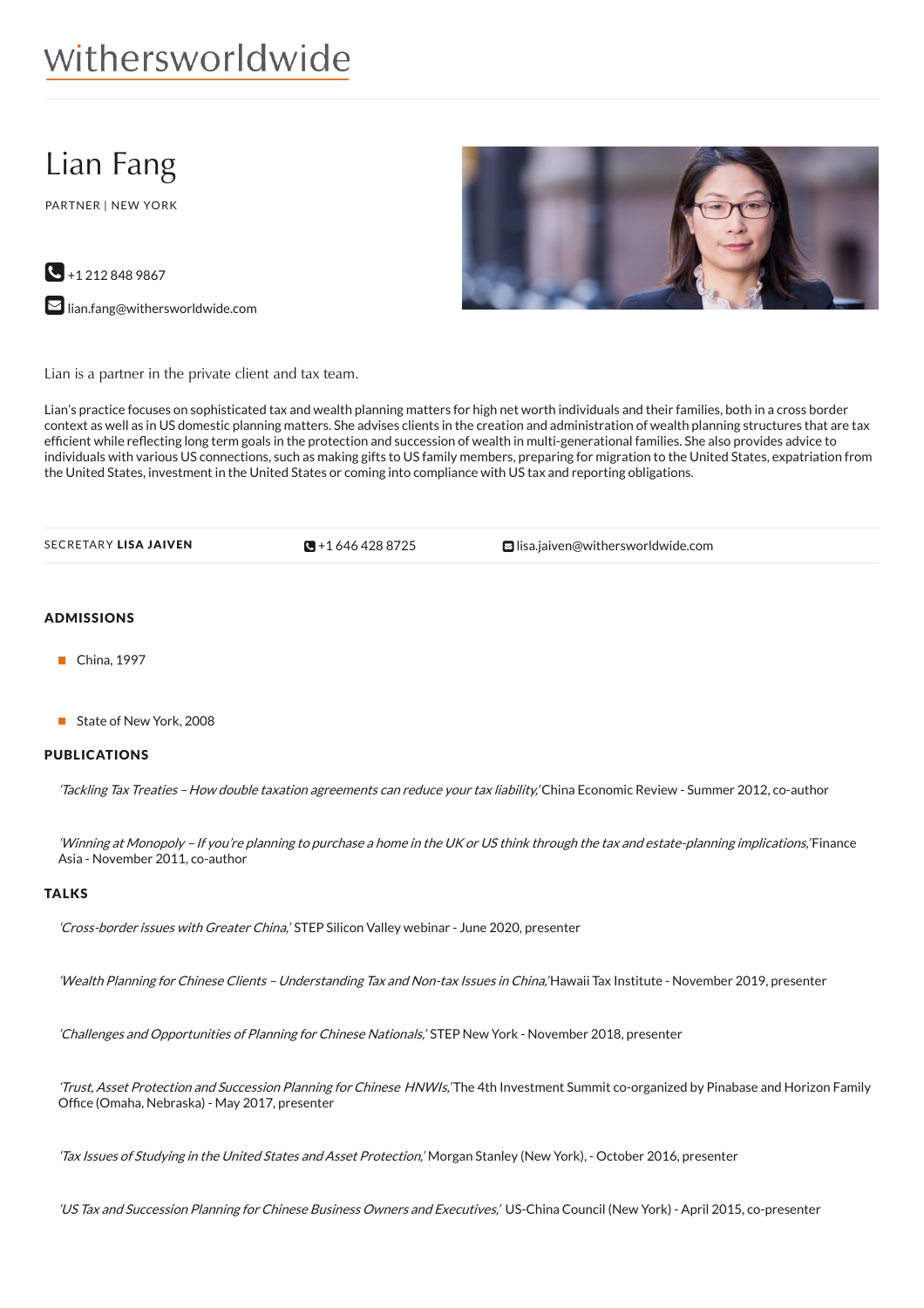# withersworldwide

# Lian Fang

PARTNER | NEW YORK



**M** [lian.fang@withersworldwide.com](mailto:lian.fang@withersworldwide.com?subject=Website Enquiry - Profile Page)



Lian is a partner in the private client and tax team.

Lian's practice focuses on sophisticated tax and wealth planning matters for high net worth individuals and their families, both in a cross border context as well as in US domestic planning matters. She advises clients in the creation and administration of wealth planning structures that are tax efficient while reflecting long term goals in the protection and succession of wealth in multi-generational families. She also provides advice to individuals with various US connections, such as making gifts to US family members, preparing for migration to the United States, expatriation from the United States, investment in the United States or coming into compliance with US tax and reporting obligations.

| SECRETARY LISA JAIVEN | $\blacksquare$ +1 646 428 8725 | $\blacksquare$ lisa.iaiven@withersworldwide.com |  |
|-----------------------|--------------------------------|-------------------------------------------------|--|
|-----------------------|--------------------------------|-------------------------------------------------|--|

# ADMISSIONS

- China, 1997
- State of New York, 2008

## PUBLICATIONS

'Tackling Tax Treaties – How double taxation agreements can reduce your tax liability,' China Economic Review - Summer 2012, co-author

'Winning at Monopoly – If you're planning to purchase <sup>a</sup> home in the UK or US think through the tax and estate-planning implications,' Finance Asia - November 2011, co-author

#### TALKS

'Cross-border issues with Greater China,' STEP Silicon Valley webinar - June 2020, presenter

'Wealth Planning for Chinese Clients - Understanding Tax and Non-tax Issues in China,'Hawaii Tax Institute - November 2019, presenter

'Challenges and Opportunities of Planning for Chinese Nationals,' STEP New York - November 2018, presenter

'Trust, Asset Protection and Succession Planning for Chinese HNWIs,'The 4th Investment Summit co-organized by Pinabase and Horizon Family Office (Omaha, Nebraska) - May 2017, presenter

'Tax Issues of Studying in the United States and Asset Protection,' Morgan Stanley (New York), - October 2016, presenter

'US Tax and Succession Planning for Chinese Business Owners and Executives,' US-China Council (New York) - April 2015, co-presenter